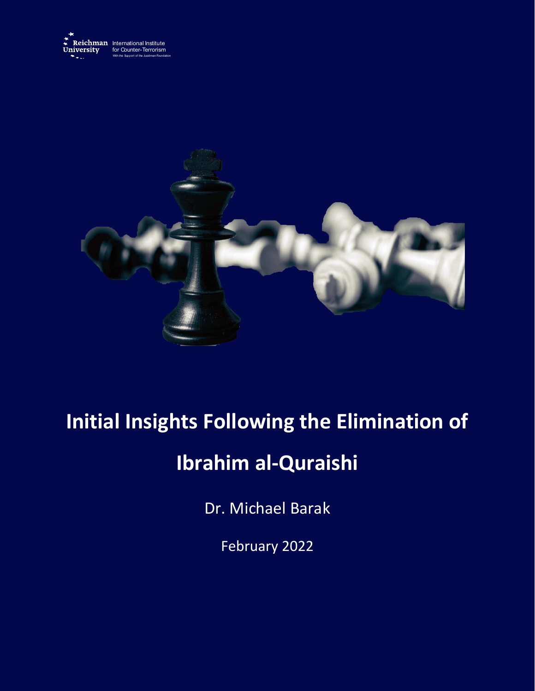



# **Initial Insights Following the Elimination of**

## **Ibrahim al-Quraishi**

Dr. Michael Barak

February 2022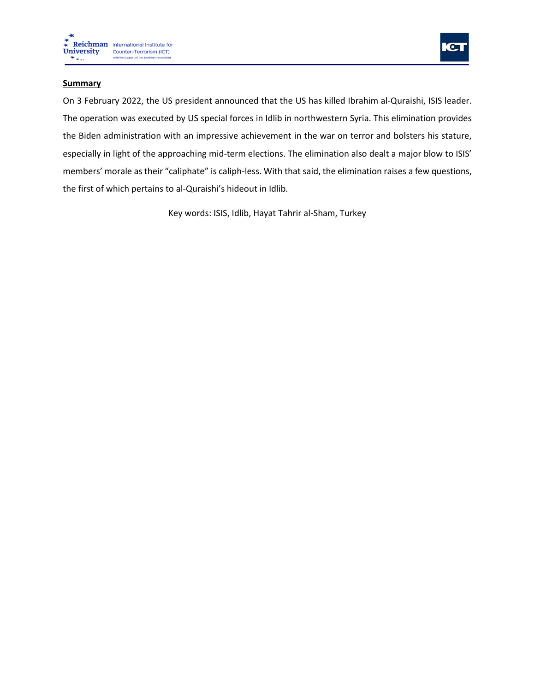



### **Summary**

On 3 February 2022, the US president announced that the US has killed Ibrahim al-Quraishi, ISIS leader. The operation was executed by US special forces in Idlib in northwestern Syria. This elimination provides the Biden administration with an impressive achievement in the war on terror and bolsters his stature, especially in light of the approaching mid-term elections. The elimination also dealt a major blow to ISIS' members' morale as their "caliphate" is caliph-less. With that said, the elimination raises a few questions, the first of which pertains to al-Quraishi's hideout in Idlib.

Key words: ISIS, Idlib, Hayat Tahrir al-Sham, Turkey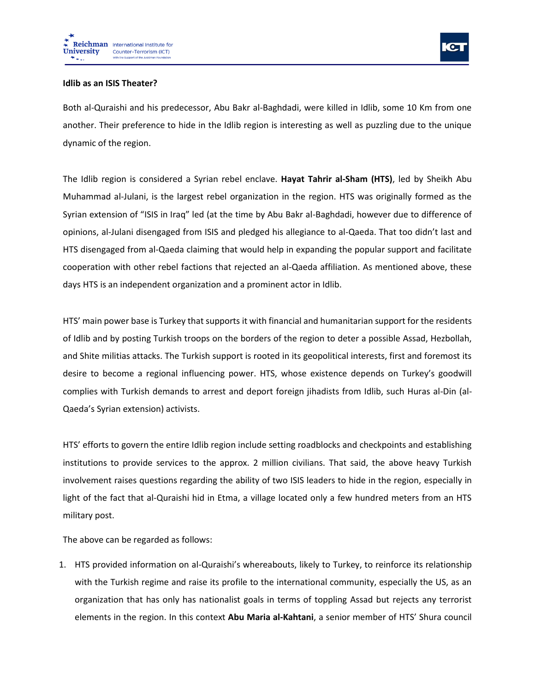

### **Idlib as an ISIS Theater?**

Both al-Quraishi and his predecessor, Abu Bakr al-Baghdadi, were killed in Idlib, some 10 Km from one another. Their preference to hide in the Idlib region is interesting as well as puzzling due to the unique dynamic of the region.

The Idlib region is considered a Syrian rebel enclave. **Hayat Tahrir al-Sham (HTS)**, led by Sheikh Abu Muhammad al-Julani, is the largest rebel organization in the region. HTS was originally formed as the Syrian extension of "ISIS in Iraq" led (at the time by Abu Bakr al-Baghdadi, however due to difference of opinions, al-Julani disengaged from ISIS and pledged his allegiance to al-Qaeda. That too didn't last and HTS disengaged from al-Qaeda claiming that would help in expanding the popular support and facilitate cooperation with other rebel factions that rejected an al-Qaeda affiliation. As mentioned above, these days HTS is an independent organization and a prominent actor in Idlib.

HTS' main power base is Turkey that supports it with financial and humanitarian support for the residents of Idlib and by posting Turkish troops on the borders of the region to deter a possible Assad, Hezbollah, and Shite militias attacks. The Turkish support is rooted in its geopolitical interests, first and foremost its desire to become a regional influencing power. HTS, whose existence depends on Turkey's goodwill complies with Turkish demands to arrest and deport foreign jihadists from Idlib, such Huras al-Din (al-Qaeda's Syrian extension) activists.

HTS' efforts to govern the entire Idlib region include setting roadblocks and checkpoints and establishing institutions to provide services to the approx. 2 million civilians. That said, the above heavy Turkish involvement raises questions regarding the ability of two ISIS leaders to hide in the region, especially in light of the fact that al-Quraishi hid in Etma, a village located only a few hundred meters from an HTS military post.

The above can be regarded as follows:

1. HTS provided information on al-Quraishi's whereabouts, likely to Turkey, to reinforce its relationship with the Turkish regime and raise its profile to the international community, especially the US, as an organization that has only has nationalist goals in terms of toppling Assad but rejects any terrorist elements in the region. In this context **Abu Maria al-Kahtani**, a senior member of HTS' Shura council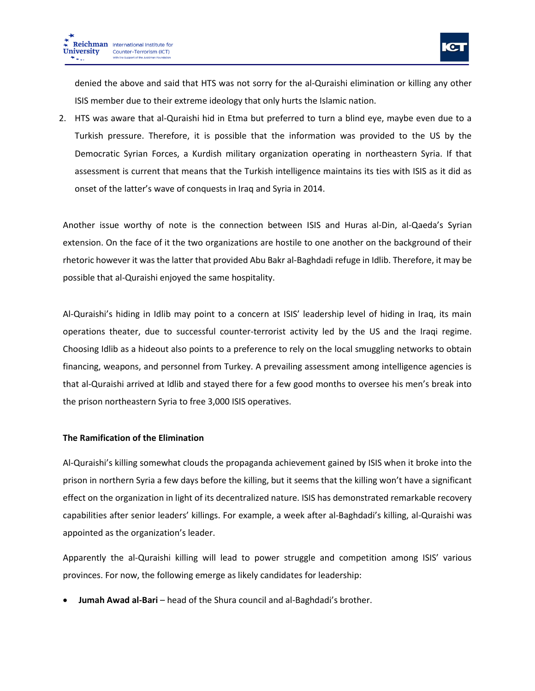

denied the above and said that HTS was not sorry for the al-Quraishi elimination or killing any other ISIS member due to their extreme ideology that only hurts the Islamic nation.

2. HTS was aware that al-Quraishi hid in Etma but preferred to turn a blind eye, maybe even due to a Turkish pressure. Therefore, it is possible that the information was provided to the US by the Democratic Syrian Forces, a Kurdish military organization operating in northeastern Syria. If that assessment is current that means that the Turkish intelligence maintains its ties with ISIS as it did as onset of the latter's wave of conquests in Iraq and Syria in 2014.

Another issue worthy of note is the connection between ISIS and Huras al-Din, al-Qaeda's Syrian extension. On the face of it the two organizations are hostile to one another on the background of their rhetoric however it was the latter that provided Abu Bakr al-Baghdadi refuge in Idlib. Therefore, it may be possible that al-Quraishi enjoyed the same hospitality.

Al-Quraishi's hiding in Idlib may point to a concern at ISIS' leadership level of hiding in Iraq, its main operations theater, due to successful counter-terrorist activity led by the US and the Iraqi regime. Choosing Idlib as a hideout also points to a preference to rely on the local smuggling networks to obtain financing, weapons, and personnel from Turkey. A prevailing assessment among intelligence agencies is that al-Quraishi arrived at Idlib and stayed there for a few good months to oversee his men's break into the prison northeastern Syria to free 3,000 ISIS operatives.

#### **The Ramification of the Elimination**

Al-Quraishi's killing somewhat clouds the propaganda achievement gained by ISIS when it broke into the prison in northern Syria a few days before the killing, but it seems that the killing won't have a significant effect on the organization in light of its decentralized nature. ISIS has demonstrated remarkable recovery capabilities after senior leaders' killings. For example, a week after al-Baghdadi's killing, al-Quraishi was appointed as the organization's leader.

Apparently the al-Quraishi killing will lead to power struggle and competition among ISIS' various provinces. For now, the following emerge as likely candidates for leadership:

• **Jumah Awad al-Bari** – head of the Shura council and al-Baghdadi's brother.